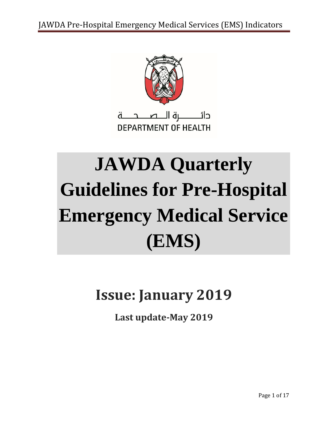

# **JAWDA Quarterly Guidelines for Pre-Hospital Emergency Medical Service (EMS)**

## **Issue: January 2019**

**Last update-May 2019**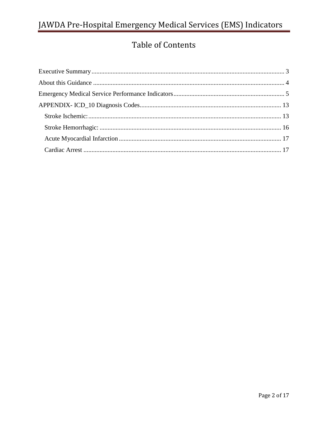## Table of Contents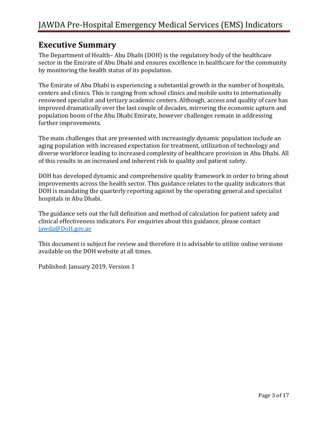#### <span id="page-2-0"></span>**Executive Summary**

The Department of Health– Abu Dhabi (DOH) is the regulatory body of the healthcare sector in the Emirate of Abu Dhabi and ensures excellence in healthcare for the community by monitoring the health status of its population.

The Emirate of Abu Dhabi is experiencing a substantial growth in the number of hospitals, centers and clinics. This is ranging from school clinics and mobile units to internationally renowned specialist and tertiary academic centers. Although, access and quality of care has improved dramatically over the last couple of decades, mirroring the economic upturn and population boom of the Abu Dhabi Emirate, however challenges remain in addressing further improvements.

The main challenges that are presented with increasingly dynamic population include an aging population with increased expectation for treatment, utilization of technology and diverse workforce leading to increased complexity of healthcare provision in Abu Dhabi. All of this results in an increased and inherent risk to quality and patient safety.

DOH has developed dynamic and comprehensive quality framework in order to bring about improvements across the health sector. This guidance relates to the quality indicators that DOH is mandating the quarterly reporting against by the operating general and specialist hospitals in Abu Dhabi.

The guidance sets out the full definition and method of calculation for patient safety and clinical effectiveness indicators. For enquiries about this guidance, please contact [jawda@DoH.gov.ae](mailto:jawda@DoH.gov.ae)

This document is subject for review and therefore it is advisable to utilize online versions available on the DOH website at all times.

Published: January 2019, Version 1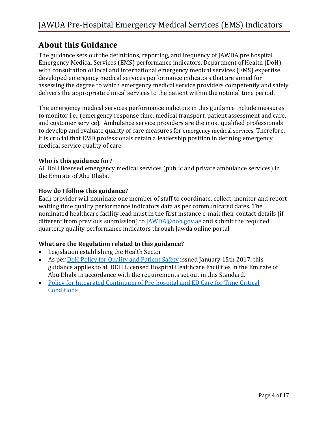#### <span id="page-3-0"></span>**About this Guidance**

The guidance sets out the definitions, reporting, and frequency of JAWDA pre hospital Emergency Medical Services (EMS) performance indicators. Department of Health (DoH) with consultation of local and international emergency medical services (EMS) expertise developed emergency medical services performance indicators that are aimed for assessing the degree to which emergency medical service providers competently and safely delivers the appropriate clinical services to the patient within the optimal time period.

The emergency medical services performance indictors in this guidance include measures to monitor I.e., (emergency response time, medical transport, patient assessment and care, and customer service). Ambulance service providers are the most qualified professionals to develop and evaluate quality of care measures for emergency medical services. Therefore, it is crucial that EMD professionals retain a leadership position in defining emergency medical service quality of care.

#### **Who is this guidance for?**

All DoH licensed emergency medical services (public and private ambulance services) in the Emirate of Abu Dhabi.

#### **How do I follow this guidance?**

Each provider will nominate one member of staff to coordinate, collect, monitor and report waiting time quality performance indicators data as per communicated dates. The nominated healthcare facility lead must in the first instance e-mail their contact details (if different from previous submission) to **JAWDA@doh.gov.ae** and submit the required quarterly quality performance indicators through Jawda online portal.

#### **What are the Regulation related to this guidance?**

- Legislation establishing the Health Sector
- As per [DoH Policy for Quality and Patient Safety](https://www.haad.ae/HAAD/LinkClick.aspx?fileticket=Jrh93s-AyUA%3d&tabid=1276) issued January 15th 2017, this guidance applies to all DOH Licensed Hospital Healthcare Facilities in the Emirate of Abu Dhabi in accordance with the requirements set out in this Standard.
- [Policy for Integrated Continuum of Pre-hospital and ED Care for Time Critical](http://www.msn.com/en-ae/news/uae/uae-to-roll-out-new-visa-system-soon/ar-BBNSZv1?li=AAaWeYc&ocid=ientp)  **[Conditions](http://www.msn.com/en-ae/news/uae/uae-to-roll-out-new-visa-system-soon/ar-BBNSZv1?li=AAaWeYc&ocid=ientp)**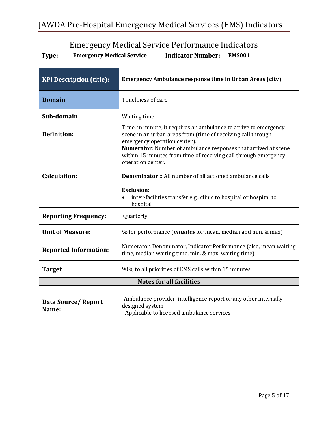## Emergency Medical Service Performance Indicators

<span id="page-4-0"></span>

| <b>KPI Description (title):</b> | <b>Emergency Ambulance response time in Urban Areas (city)</b>                                                                                                   |
|---------------------------------|------------------------------------------------------------------------------------------------------------------------------------------------------------------|
| <b>Domain</b>                   | Timeliness of care                                                                                                                                               |
| Sub-domain                      | Waiting time                                                                                                                                                     |
| <b>Definition:</b>              | Time, in minute, it requires an ambulance to arrive to emergency<br>scene in an urban areas from (time of receiving call through<br>emergency operation center). |
|                                 | Numerator: Number of ambulance responses that arrived at scene<br>within 15 minutes from time of receiving call through emergency<br>operation center.           |
| <b>Calculation:</b>             | <b>Denominator:</b> All number of all actioned ambulance calls                                                                                                   |
|                                 | <b>Exclusion:</b><br>inter-facilities transfer e.g., clinic to hospital or hospital to<br>hospital                                                               |
| <b>Reporting Frequency:</b>     | Quarterly                                                                                                                                                        |
| <b>Unit of Measure:</b>         | % for performance ( <i>minutes</i> for mean, median and min. & max)                                                                                              |
| <b>Reported Information:</b>    | Numerator, Denominator, Indicator Performance (also, mean waiting<br>time, median waiting time, min. & max. waiting time)                                        |
| <b>Target</b>                   | 90% to all priorities of EMS calls within 15 minutes                                                                                                             |
| <b>Notes for all facilities</b> |                                                                                                                                                                  |
| Data Source/Report<br>Name:     | -Ambulance provider intelligence report or any other internally<br>designed system<br>- Applicable to licensed ambulance services                                |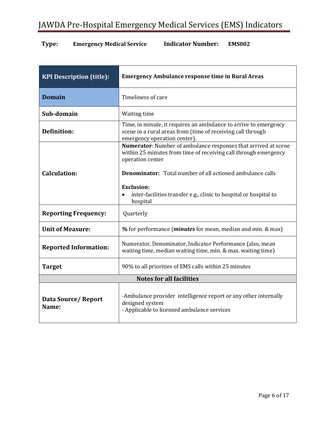| <b>KPI Description (title):</b> | <b>Emergency Ambulance response time in Rural Areas</b>                                                                                                         |
|---------------------------------|-----------------------------------------------------------------------------------------------------------------------------------------------------------------|
| <b>Domain</b>                   | Timeliness of care                                                                                                                                              |
| Sub-domain                      | Waiting time                                                                                                                                                    |
| Definition:                     | Time, in minute, it requires an ambulance to arrive to emergency<br>scene in a rural areas from (time of receiving call through<br>emergency operation center). |
|                                 | Numerator: Number of ambulance responses that arrived at scene<br>within 25 minutes from time of receiving call through emergency<br>operation center           |
| <b>Calculation:</b>             | <b>Denominator:</b> Total number of all actioned ambulance calls                                                                                                |
|                                 | <b>Exclusion:</b><br>inter-facilities transfer e.g., clinic to hospital or hospital to<br>$\bullet$<br>hospital                                                 |
| <b>Reporting Frequency:</b>     | Quarterly                                                                                                                                                       |
| <b>Unit of Measure:</b>         | % for performance ( <i>minutes</i> for mean, median and min. & max)                                                                                             |
| <b>Reported Information:</b>    | Numerator, Denominator, Indicator Performance (also, mean<br>waiting time, median waiting time, min. & max. waiting time)                                       |
| <b>Target</b>                   | 90% to all priorities of EMS calls within 25 minutes                                                                                                            |
| <b>Notes for all facilities</b> |                                                                                                                                                                 |
| Data Source/Report<br>Name:     | -Ambulance provider intelligence report or any other internally<br>designed system<br>- Applicable to licensed ambulance services                               |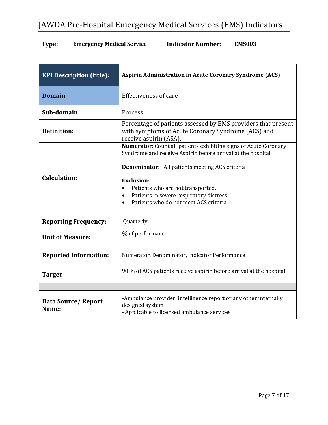| <b>KPI Description (title):</b> | <b>Aspirin Administration in Acute Coronary Syndrome (ACS)</b>                                                                                                                                                                                                                                                                                                                       |
|---------------------------------|--------------------------------------------------------------------------------------------------------------------------------------------------------------------------------------------------------------------------------------------------------------------------------------------------------------------------------------------------------------------------------------|
| <b>Domain</b>                   | <b>Effectiveness of care</b>                                                                                                                                                                                                                                                                                                                                                         |
| Sub-domain                      | Process                                                                                                                                                                                                                                                                                                                                                                              |
| <b>Definition:</b>              | Percentage of patients assessed by EMS providers that present<br>with symptoms of Acute Coronary Syndrome (ACS) and<br>receive aspirin (ASA).                                                                                                                                                                                                                                        |
| <b>Calculation:</b>             | <b>Numerator:</b> Count all patients exhibiting signs of Acute Coronary<br>Syndrome and receive Aspirin before arrival at the hospital<br><b>Denominator:</b> All patients meeting ACS criteria<br><b>Exclusion:</b><br>Patients who are not transported.<br>$\bullet$<br>Patients in severe respiratory distress<br>$\bullet$<br>Patients who do not meet ACS criteria<br>$\bullet$ |
| <b>Reporting Frequency:</b>     | Quarterly                                                                                                                                                                                                                                                                                                                                                                            |
| <b>Unit of Measure:</b>         | % of performance                                                                                                                                                                                                                                                                                                                                                                     |
| <b>Reported Information:</b>    | Numerator, Denominator, Indicator Performance                                                                                                                                                                                                                                                                                                                                        |
| <b>Target</b>                   | 90 % of ACS patients receive aspirin before arrival at the hospital                                                                                                                                                                                                                                                                                                                  |
|                                 |                                                                                                                                                                                                                                                                                                                                                                                      |
| Data Source/Report<br>Name:     | -Ambulance provider intelligence report or any other internally<br>designed system<br>- Applicable to licensed ambulance services                                                                                                                                                                                                                                                    |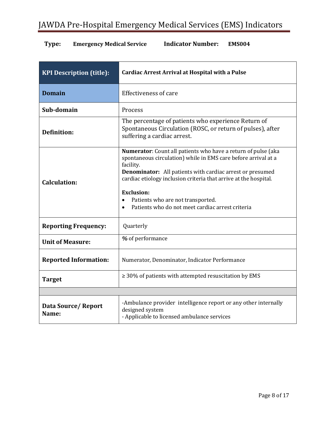| <b>KPI Description (title):</b> | <b>Cardiac Arrest Arrival at Hospital with a Pulse</b>                                                                                                                                                                                                                                                                                                                                                                       |
|---------------------------------|------------------------------------------------------------------------------------------------------------------------------------------------------------------------------------------------------------------------------------------------------------------------------------------------------------------------------------------------------------------------------------------------------------------------------|
| <b>Domain</b>                   | <b>Effectiveness of care</b>                                                                                                                                                                                                                                                                                                                                                                                                 |
| Sub-domain                      | Process                                                                                                                                                                                                                                                                                                                                                                                                                      |
| <b>Definition:</b>              | The percentage of patients who experience Return of<br>Spontaneous Circulation (ROSC, or return of pulses), after<br>suffering a cardiac arrest.                                                                                                                                                                                                                                                                             |
| Calculation:                    | Numerator: Count all patients who have a return of pulse (aka<br>spontaneous circulation) while in EMS care before arrival at a<br>facility.<br><b>Denominator:</b> All patients with cardiac arrest or presumed<br>cardiac etiology inclusion criteria that arrive at the hospital.<br><b>Exclusion:</b><br>Patients who are not transported.<br>$\bullet$<br>Patients who do not meet cardiac arrest criteria<br>$\bullet$ |
| <b>Reporting Frequency:</b>     | Quarterly                                                                                                                                                                                                                                                                                                                                                                                                                    |
| <b>Unit of Measure:</b>         | % of performance                                                                                                                                                                                                                                                                                                                                                                                                             |
| <b>Reported Information:</b>    | Numerator, Denominator, Indicator Performance                                                                                                                                                                                                                                                                                                                                                                                |
| <b>Target</b>                   | $\geq$ 30% of patients with attempted resuscitation by EMS                                                                                                                                                                                                                                                                                                                                                                   |
|                                 |                                                                                                                                                                                                                                                                                                                                                                                                                              |
| Data Source/Report<br>Name:     | -Ambulance provider intelligence report or any other internally<br>designed system<br>- Applicable to licensed ambulance services                                                                                                                                                                                                                                                                                            |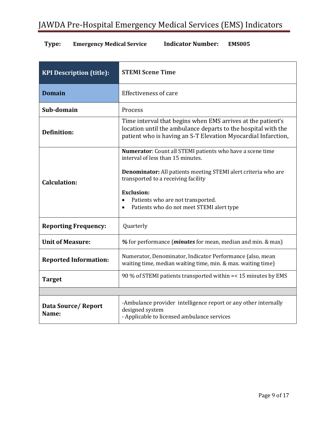| <b>KPI Description (title):</b> | <b>STEMI Scene Time</b>                                                                                                                                                                                                                                                                                                                         |
|---------------------------------|-------------------------------------------------------------------------------------------------------------------------------------------------------------------------------------------------------------------------------------------------------------------------------------------------------------------------------------------------|
| <b>Domain</b>                   | <b>Effectiveness of care</b>                                                                                                                                                                                                                                                                                                                    |
| Sub-domain                      | Process                                                                                                                                                                                                                                                                                                                                         |
| <b>Definition:</b>              | Time interval that begins when EMS arrives at the patient's<br>location until the ambulance departs to the hospital with the<br>patient who is having an S-T Elevation Myocardial Infarction,                                                                                                                                                   |
| Calculation:                    | Numerator: Count all STEMI patients who have a scene time<br>interval of less than 15 minutes.<br><b>Denominator:</b> All patients meeting STEMI alert criteria who are<br>transported to a receiving facility<br><b>Exclusion:</b><br>Patients who are not transported.<br>$\bullet$<br>Patients who do not meet STEMI alert type<br>$\bullet$ |
| <b>Reporting Frequency:</b>     | Quarterly                                                                                                                                                                                                                                                                                                                                       |
| <b>Unit of Measure:</b>         | % for performance ( <i>minutes</i> for mean, median and min. & max)                                                                                                                                                                                                                                                                             |
| <b>Reported Information:</b>    | Numerator, Denominator, Indicator Performance (also, mean<br>waiting time, median waiting time, min. & max. waiting time)                                                                                                                                                                                                                       |
| <b>Target</b>                   | 90 % of STEMI patients transported within = < 15 minutes by EMS                                                                                                                                                                                                                                                                                 |
|                                 |                                                                                                                                                                                                                                                                                                                                                 |
| Data Source/Report<br>Name:     | -Ambulance provider intelligence report or any other internally<br>designed system<br>- Applicable to licensed ambulance services                                                                                                                                                                                                               |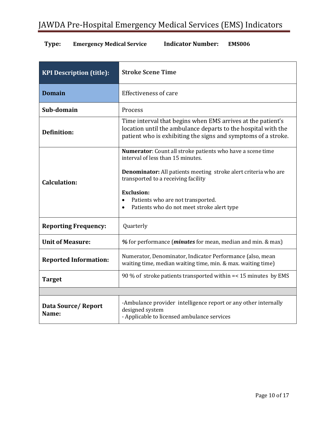| <b>KPI Description (title):</b> | <b>Stroke Scene Time</b>                                                                                                                                                                                                                                                                                                                           |
|---------------------------------|----------------------------------------------------------------------------------------------------------------------------------------------------------------------------------------------------------------------------------------------------------------------------------------------------------------------------------------------------|
| <b>Domain</b>                   | <b>Effectiveness of care</b>                                                                                                                                                                                                                                                                                                                       |
| Sub-domain                      | Process                                                                                                                                                                                                                                                                                                                                            |
| <b>Definition:</b>              | Time interval that begins when EMS arrives at the patient's<br>location until the ambulance departs to the hospital with the<br>patient who is exhibiting the signs and symptoms of a stroke.                                                                                                                                                      |
| <b>Calculation:</b>             | Numerator: Count all stroke patients who have a scene time<br>interval of less than 15 minutes.<br><b>Denominator:</b> All patients meeting stroke alert criteria who are<br>transported to a receiving facility<br><b>Exclusion:</b><br>Patients who are not transported.<br>$\bullet$<br>Patients who do not meet stroke alert type<br>$\bullet$ |
| <b>Reporting Frequency:</b>     | Quarterly                                                                                                                                                                                                                                                                                                                                          |
| <b>Unit of Measure:</b>         | % for performance ( <i>minutes</i> for mean, median and min. & max)                                                                                                                                                                                                                                                                                |
| <b>Reported Information:</b>    | Numerator, Denominator, Indicator Performance (also, mean<br>waiting time, median waiting time, min. & max. waiting time)                                                                                                                                                                                                                          |
| <b>Target</b>                   | 90 % of stroke patients transported within $=<$ 15 minutes by EMS                                                                                                                                                                                                                                                                                  |
|                                 |                                                                                                                                                                                                                                                                                                                                                    |
| Data Source/Report<br>Name:     | -Ambulance provider intelligence report or any other internally<br>designed system<br>- Applicable to licensed ambulance services                                                                                                                                                                                                                  |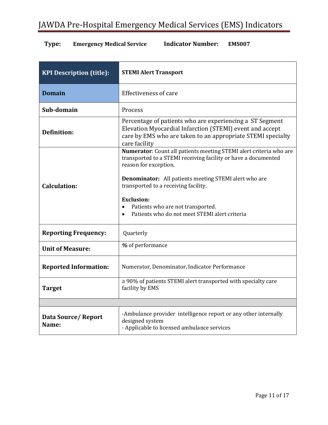| <b>KPI Description (title):</b> | <b>STEMI Alert Transport</b>                                                                                                                                                                                                                                                                                                                                                                  |
|---------------------------------|-----------------------------------------------------------------------------------------------------------------------------------------------------------------------------------------------------------------------------------------------------------------------------------------------------------------------------------------------------------------------------------------------|
| <b>Domain</b>                   | <b>Effectiveness of care</b>                                                                                                                                                                                                                                                                                                                                                                  |
| Sub-domain                      | Process                                                                                                                                                                                                                                                                                                                                                                                       |
| Definition:                     | Percentage of patients who are experiencing a ST Segment<br>Elevation Myocardial Infarction (STEMI) event and accept<br>care by EMS who are taken to an appropriate STEMI specialty<br>care facility                                                                                                                                                                                          |
| <b>Calculation:</b>             | Numerator: Count all patients meeting STEMI alert criteria who are<br>transported to a STEMI receiving facility or have a documented<br>reason for exception.<br><b>Denominator:</b> All patients meeting STEMI alert who are<br>transported to a receiving facility.<br><b>Exclusion:</b><br>Patients who are not transported.<br>$\bullet$<br>Patients who do not meet STEMI alert criteria |
| <b>Reporting Frequency:</b>     | Quarterly                                                                                                                                                                                                                                                                                                                                                                                     |
| <b>Unit of Measure:</b>         | % of performance                                                                                                                                                                                                                                                                                                                                                                              |
| <b>Reported Information:</b>    | Numerator, Denominator, Indicator Performance                                                                                                                                                                                                                                                                                                                                                 |
| <b>Target</b>                   | $\geq$ 90% of patients STEMI alert transported with specialty care<br>facility by EMS                                                                                                                                                                                                                                                                                                         |
|                                 |                                                                                                                                                                                                                                                                                                                                                                                               |
| Data Source/Report<br>Name:     | -Ambulance provider intelligence report or any other internally<br>designed system<br>- Applicable to licensed ambulance services                                                                                                                                                                                                                                                             |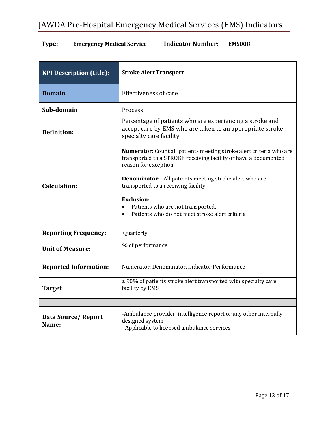| <b>KPI Description (title):</b> | <b>Stroke Alert Transport</b>                                                                                                                                                                                                                                                                                                                                                                     |
|---------------------------------|---------------------------------------------------------------------------------------------------------------------------------------------------------------------------------------------------------------------------------------------------------------------------------------------------------------------------------------------------------------------------------------------------|
| <b>Domain</b>                   | <b>Effectiveness of care</b>                                                                                                                                                                                                                                                                                                                                                                      |
| Sub-domain                      | Process                                                                                                                                                                                                                                                                                                                                                                                           |
| <b>Definition:</b>              | Percentage of patients who are experiencing a stroke and<br>accept care by EMS who are taken to an appropriate stroke<br>specialty care facility.                                                                                                                                                                                                                                                 |
| <b>Calculation:</b>             | Numerator: Count all patients meeting stroke alert criteria who are<br>transported to a STROKE receiving facility or have a documented<br>reason for exception.<br><b>Denominator:</b> All patients meeting stroke alert who are<br>transported to a receiving facility.<br><b>Exclusion:</b><br>Patients who are not transported.<br>$\bullet$<br>Patients who do not meet stroke alert criteria |
| <b>Reporting Frequency:</b>     | Quarterly                                                                                                                                                                                                                                                                                                                                                                                         |
| <b>Unit of Measure:</b>         | % of performance                                                                                                                                                                                                                                                                                                                                                                                  |
| <b>Reported Information:</b>    | Numerator, Denominator, Indicator Performance                                                                                                                                                                                                                                                                                                                                                     |
| <b>Target</b>                   | $\geq$ 90% of patients stroke alert transported with specialty care<br>facility by EMS                                                                                                                                                                                                                                                                                                            |
|                                 |                                                                                                                                                                                                                                                                                                                                                                                                   |
| Data Source/Report<br>Name:     | -Ambulance provider intelligence report or any other internally<br>designed system<br>- Applicable to licensed ambulance services                                                                                                                                                                                                                                                                 |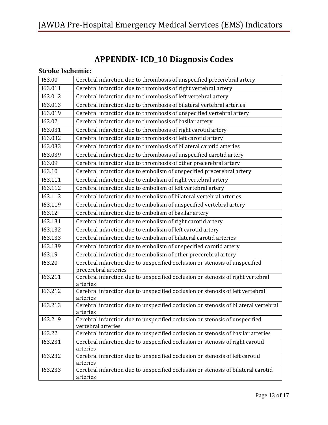## **APPENDIX- ICD\_10 Diagnosis Codes**

#### <span id="page-12-1"></span><span id="page-12-0"></span>**Stroke Ischemic:**

| 163.00  | Cerebral infarction due to thrombosis of unspecified precerebral artery                             |
|---------|-----------------------------------------------------------------------------------------------------|
| 163.011 | Cerebral infarction due to thrombosis of right vertebral artery                                     |
| 163.012 | Cerebral infarction due to thrombosis of left vertebral artery                                      |
| 163.013 | Cerebral infarction due to thrombosis of bilateral vertebral arteries                               |
| 163.019 | Cerebral infarction due to thrombosis of unspecified vertebral artery                               |
| 163.02  | Cerebral infarction due to thrombosis of basilar artery                                             |
| 163.031 | Cerebral infarction due to thrombosis of right carotid artery                                       |
| 163.032 | Cerebral infarction due to thrombosis of left carotid artery                                        |
| 163.033 | Cerebral infarction due to thrombosis of bilateral carotid arteries                                 |
| 163.039 | Cerebral infarction due to thrombosis of unspecified carotid artery                                 |
| 163.09  | Cerebral infarction due to thrombosis of other precerebral artery                                   |
| 163.10  | Cerebral infarction due to embolism of unspecified precerebral artery                               |
| 163.111 | Cerebral infarction due to embolism of right vertebral artery                                       |
| 163.112 | Cerebral infarction due to embolism of left vertebral artery                                        |
| 163.113 | Cerebral infarction due to embolism of bilateral vertebral arteries                                 |
| 163.119 | Cerebral infarction due to embolism of unspecified vertebral artery                                 |
| 163.12  | Cerebral infarction due to embolism of basilar artery                                               |
| 163.131 | Cerebral infarction due to embolism of right carotid artery                                         |
| 163.132 | Cerebral infarction due to embolism of left carotid artery                                          |
| 163.133 | Cerebral infarction due to embolism of bilateral carotid arteries                                   |
| 163.139 | Cerebral infarction due to embolism of unspecified carotid artery                                   |
| 163.19  | Cerebral infarction due to embolism of other precerebral artery                                     |
| 163.20  | Cerebral infarction due to unspecified occlusion or stenosis of unspecified<br>precerebral arteries |
| 163.211 | Cerebral infarction due to unspecified occlusion or stenosis of right vertebral<br>arteries         |
| 163.212 | Cerebral infarction due to unspecified occlusion or stenosis of left vertebral<br>arteries          |
| 163.213 | Cerebral infarction due to unspecified occlusion or stenosis of bilateral vertebral<br>arteries     |
| 163.219 | Cerebral infarction due to unspecified occlusion or stenosis of unspecified<br>vertebral arteries   |
| 163.22  | Cerebral infarction due to unspecified occlusion or stenosis of basilar arteries                    |
| 163.231 | Cerebral infarction due to unspecified occlusion or stenosis of right carotid<br>arteries           |
| 163.232 | Cerebral infarction due to unspecified occlusion or stenosis of left carotid<br>arteries            |
| 163.233 | Cerebral infarction due to unspecified occlusion or stenosis of bilateral carotid<br>arteries       |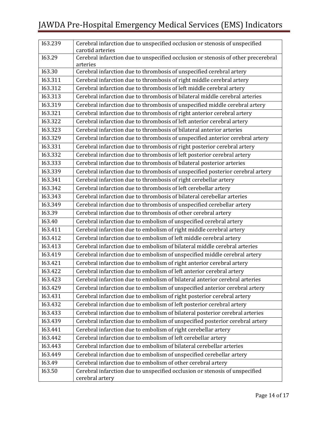| 163.239              | Cerebral infarction due to unspecified occlusion or stenosis of unspecified<br>carotid arteries |
|----------------------|-------------------------------------------------------------------------------------------------|
| 163.29               | Cerebral infarction due to unspecified occlusion or stenosis of other precerebral               |
|                      | arteries                                                                                        |
| 163.30               | Cerebral infarction due to thrombosis of unspecified cerebral artery                            |
| I63.311              | Cerebral infarction due to thrombosis of right middle cerebral artery                           |
| 163.312              | Cerebral infarction due to thrombosis of left middle cerebral artery                            |
| 163.313              | Cerebral infarction due to thrombosis of bilateral middle cerebral arteries                     |
| 163.319              | Cerebral infarction due to thrombosis of unspecified middle cerebral artery                     |
| 163.321              | Cerebral infarction due to thrombosis of right anterior cerebral artery                         |
| 163.322              | Cerebral infarction due to thrombosis of left anterior cerebral artery                          |
| 163.323              | Cerebral infarction due to thrombosis of bilateral anterior arteries                            |
| 163.329              | Cerebral infarction due to thrombosis of unspecified anterior cerebral artery                   |
| 163.331              | Cerebral infarction due to thrombosis of right posterior cerebral artery                        |
| 163.332              | Cerebral infarction due to thrombosis of left posterior cerebral artery                         |
| 163.333              | Cerebral infarction due to thrombosis of bilateral posterior arteries                           |
| 163.339              | Cerebral infarction due to thrombosis of unspecified posterior cerebral artery                  |
| 163.341              | Cerebral infarction due to thrombosis of right cerebellar artery                                |
| 163.342              | Cerebral infarction due to thrombosis of left cerebellar artery                                 |
| 163.343              | Cerebral infarction due to thrombosis of bilateral cerebellar arteries                          |
| 163.349              | Cerebral infarction due to thrombosis of unspecified cerebellar artery                          |
| 163.39               | Cerebral infarction due to thrombosis of other cerebral artery                                  |
| 163.40               | Cerebral infarction due to embolism of unspecified cerebral artery                              |
| 163.411              | Cerebral infarction due to embolism of right middle cerebral artery                             |
| 163.412              | Cerebral infarction due to embolism of left middle cerebral artery                              |
| $\overline{163.413}$ | Cerebral infarction due to embolism of bilateral middle cerebral arteries                       |
| 163.419              | Cerebral infarction due to embolism of unspecified middle cerebral artery                       |
| 163.421              | Cerebral infarction due to embolism of right anterior cerebral artery                           |
| 163.422              | Cerebral infarction due to embolism of left anterior cerebral artery                            |
| 163.423              | Cerebral infarction due to embolism of bilateral anterior cerebral arteries                     |
| 163.429              | Cerebral infarction due to embolism of unspecified anterior cerebral artery                     |
| 163.431              | Cerebral infarction due to embolism of right posterior cerebral artery                          |
| 163.432              | Cerebral infarction due to embolism of left posterior cerebral artery                           |
| 163.433              | Cerebral infarction due to embolism of bilateral posterior cerebral arteries                    |
| 163.439              | Cerebral infarction due to embolism of unspecified posterior cerebral artery                    |
| 163.441              | Cerebral infarction due to embolism of right cerebellar artery                                  |
| 163.442              | Cerebral infarction due to embolism of left cerebellar artery                                   |
| 163.443              | Cerebral infarction due to embolism of bilateral cerebellar arteries                            |
| 163.449              | Cerebral infarction due to embolism of unspecified cerebellar artery                            |
| 163.49               | Cerebral infarction due to embolism of other cerebral artery                                    |
| 163.50               | Cerebral infarction due to unspecified occlusion or stenosis of unspecified                     |
|                      | cerebral artery                                                                                 |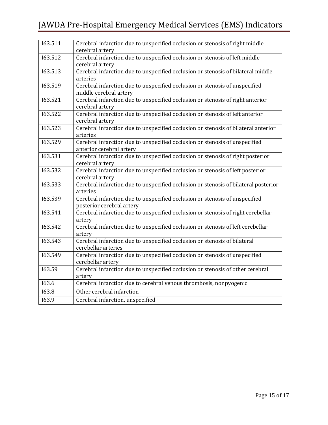| 163.511 | Cerebral infarction due to unspecified occlusion or stenosis of right middle<br>cerebral artery          |
|---------|----------------------------------------------------------------------------------------------------------|
| 163.512 | Cerebral infarction due to unspecified occlusion or stenosis of left middle                              |
|         | cerebral artery                                                                                          |
| 163.513 | Cerebral infarction due to unspecified occlusion or stenosis of bilateral middle<br>arteries             |
| 163.519 | Cerebral infarction due to unspecified occlusion or stenosis of unspecified<br>middle cerebral artery    |
| 163.521 | Cerebral infarction due to unspecified occlusion or stenosis of right anterior<br>cerebral artery        |
| 163.522 | Cerebral infarction due to unspecified occlusion or stenosis of left anterior<br>cerebral artery         |
| 163.523 | Cerebral infarction due to unspecified occlusion or stenosis of bilateral anterior<br>arteries           |
| 163.529 | Cerebral infarction due to unspecified occlusion or stenosis of unspecified<br>anterior cerebral artery  |
| 163.531 | Cerebral infarction due to unspecified occlusion or stenosis of right posterior<br>cerebral artery       |
| 163.532 | Cerebral infarction due to unspecified occlusion or stenosis of left posterior<br>cerebral artery        |
| 163.533 | Cerebral infarction due to unspecified occlusion or stenosis of bilateral posterior<br>arteries          |
| 163.539 | Cerebral infarction due to unspecified occlusion or stenosis of unspecified<br>posterior cerebral artery |
| 163.541 | Cerebral infarction due to unspecified occlusion or stenosis of right cerebellar<br>artery               |
| 163.542 | Cerebral infarction due to unspecified occlusion or stenosis of left cerebellar<br>artery                |
| 163.543 | Cerebral infarction due to unspecified occlusion or stenosis of bilateral<br>cerebellar arteries         |
| 163.549 | Cerebral infarction due to unspecified occlusion or stenosis of unspecified<br>cerebellar artery         |
| 163.59  | Cerebral infarction due to unspecified occlusion or stenosis of other cerebral<br>artery                 |
| 163.6   | Cerebral infarction due to cerebral venous thrombosis, nonpyogenic                                       |
| 163.8   | Other cerebral infarction                                                                                |
| 163.9   | Cerebral infarction, unspecified                                                                         |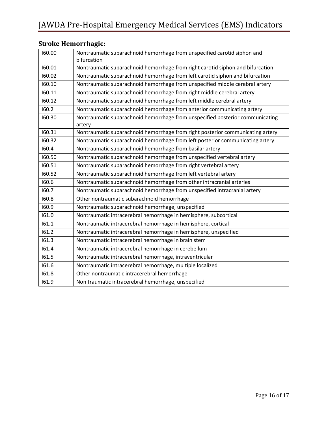| 160.00 | Nontraumatic subarachnoid hemorrhage from unspecified carotid siphon and                |
|--------|-----------------------------------------------------------------------------------------|
|        | bifurcation                                                                             |
| 160.01 | Nontraumatic subarachnoid hemorrhage from right carotid siphon and bifurcation          |
| 160.02 | Nontraumatic subarachnoid hemorrhage from left carotid siphon and bifurcation           |
| 160.10 | Nontraumatic subarachnoid hemorrhage from unspecified middle cerebral artery            |
| 160.11 | Nontraumatic subarachnoid hemorrhage from right middle cerebral artery                  |
| 160.12 | Nontraumatic subarachnoid hemorrhage from left middle cerebral artery                   |
| 160.2  | Nontraumatic subarachnoid hemorrhage from anterior communicating artery                 |
| 160.30 | Nontraumatic subarachnoid hemorrhage from unspecified posterior communicating<br>artery |
| 160.31 | Nontraumatic subarachnoid hemorrhage from right posterior communicating artery          |
| 160.32 | Nontraumatic subarachnoid hemorrhage from left posterior communicating artery           |
| 160.4  | Nontraumatic subarachnoid hemorrhage from basilar artery                                |
| 160.50 | Nontraumatic subarachnoid hemorrhage from unspecified vertebral artery                  |
| 160.51 | Nontraumatic subarachnoid hemorrhage from right vertebral artery                        |
| 160.52 | Nontraumatic subarachnoid hemorrhage from left vertebral artery                         |
| 160.6  | Nontraumatic subarachnoid hemorrhage from other intracranial arteries                   |
| 160.7  | Nontraumatic subarachnoid hemorrhage from unspecified intracranial artery               |
| 160.8  | Other nontraumatic subarachnoid hemorrhage                                              |
| 160.9  | Nontraumatic subarachnoid hemorrhage, unspecified                                       |
| 161.0  | Nontraumatic intracerebral hemorrhage in hemisphere, subcortical                        |
| 161.1  | Nontraumatic intracerebral hemorrhage in hemisphere, cortical                           |
| 161.2  | Nontraumatic intracerebral hemorrhage in hemisphere, unspecified                        |
| 161.3  | Nontraumatic intracerebral hemorrhage in brain stem                                     |
| 161.4  | Nontraumatic intracerebral hemorrhage in cerebellum                                     |
| 161.5  | Nontraumatic intracerebral hemorrhage, intraventricular                                 |
| 161.6  | Nontraumatic intracerebral hemorrhage, multiple localized                               |
| 161.8  | Other nontraumatic intracerebral hemorrhage                                             |
| 161.9  | Non traumatic intracerebral hemorrhage, unspecified                                     |

#### <span id="page-15-0"></span>**Stroke Hemorrhagic:**